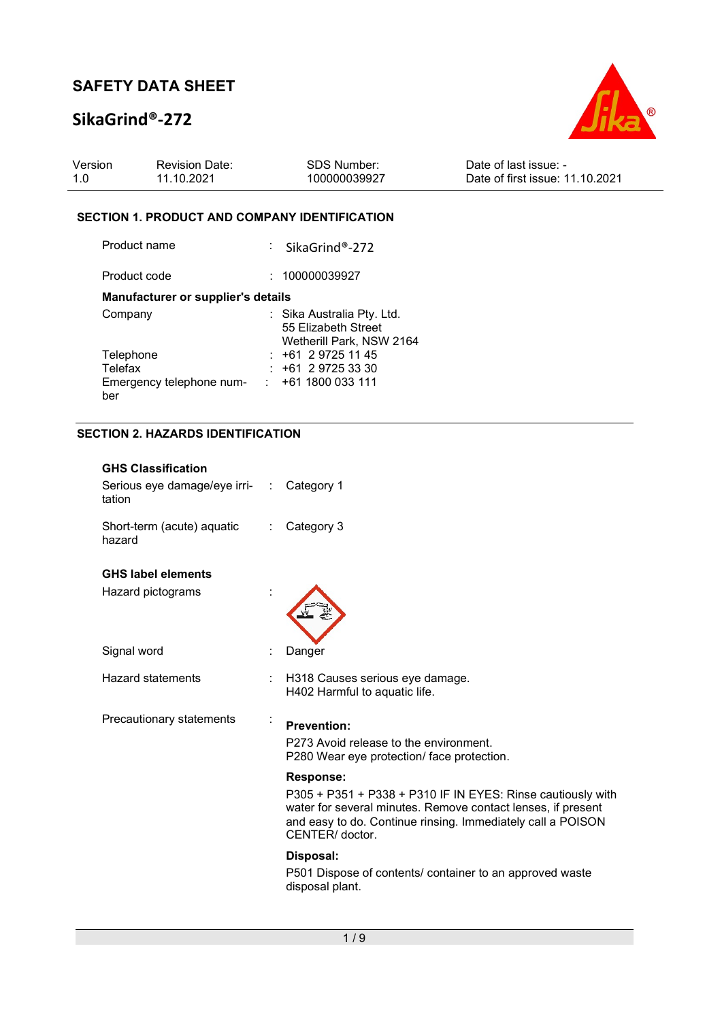# SikaGrind®-272



| Version | <b>Revision Date:</b> | SDS Number:  | Date of last issue: -           |
|---------|-----------------------|--------------|---------------------------------|
| 1.0     | 11.10.2021            | 100000039927 | Date of first issue: 11.10.2021 |

## SECTION 1. PRODUCT AND COMPANY IDENTIFICATION

| Product name                       | : SikaGrind®-272                                                              |
|------------------------------------|-------------------------------------------------------------------------------|
| Product code                       | : 100000039927                                                                |
| Manufacturer or supplier's details |                                                                               |
| Company                            | : Sika Australia Pty. Ltd.<br>55 Elizabeth Street<br>Wetherill Park, NSW 2164 |
| Telephone                          | $: +61297251145$                                                              |
| Telefax                            | $: +61297253330$                                                              |
| Emergency telephone num-<br>ber    | $: +611800033111$                                                             |

## SECTION 2. HAZARDS IDENTIFICATION

| <b>GHS Classification</b><br>Serious eye damage/eye irri- :<br>tation |   | Category 1                                                                                                                                                                                                                       |
|-----------------------------------------------------------------------|---|----------------------------------------------------------------------------------------------------------------------------------------------------------------------------------------------------------------------------------|
| Short-term (acute) aquatic<br>hazard                                  | ÷ | Category 3                                                                                                                                                                                                                       |
| <b>GHS label elements</b><br>Hazard pictograms                        |   |                                                                                                                                                                                                                                  |
| Signal word                                                           |   | Danger                                                                                                                                                                                                                           |
| <b>Hazard statements</b>                                              |   | H318 Causes serious eye damage.<br>H402 Harmful to aquatic life.                                                                                                                                                                 |
| Precautionary statements                                              |   | <b>Prevention:</b><br>P273 Avoid release to the environment.<br>P280 Wear eye protection/ face protection.                                                                                                                       |
|                                                                       |   | <b>Response:</b><br>P305 + P351 + P338 + P310 IF IN EYES: Rinse cautiously with<br>water for several minutes. Remove contact lenses, if present<br>and easy to do. Continue rinsing. Immediately call a POISON<br>CENTER/doctor. |
|                                                                       |   | Disposal:<br>P501 Dispose of contents/ container to an approved waste<br>disposal plant.                                                                                                                                         |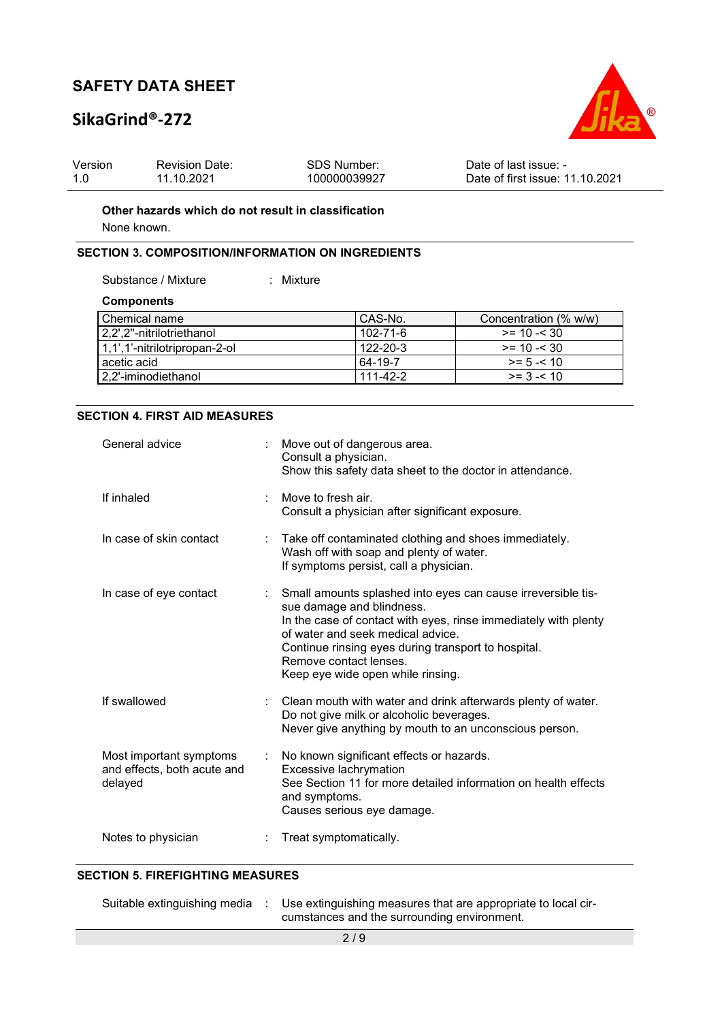# SikaGrind®-272



| Version | <b>Revision Date:</b> | SDS Number:  | Date of last issue: -           |
|---------|-----------------------|--------------|---------------------------------|
|         | 11.10.2021            | 100000039927 | Date of first issue: 11.10.2021 |

### Other hazards which do not result in classification

None known.

## SECTION 3. COMPOSITION/INFORMATION ON INGREDIENTS

Substance / Mixture : Mixture

**Components** 

| CAS-No.        | Concentration (% w/w) |
|----------------|-----------------------|
| 102-71-6       | $>= 10 - 530$         |
| $122 - 20 - 3$ | $>= 10 - 30$          |
| 64-19-7        | $>= 5 - 10$           |
| $111 - 42 - 2$ | $>= 3 - 10$           |
|                |                       |

#### SECTION 4. FIRST AID MEASURES

| General advice                                                    |   | Move out of dangerous area.<br>Consult a physician.<br>Show this safety data sheet to the doctor in attendance.                                                                                                                                                                                                         |
|-------------------------------------------------------------------|---|-------------------------------------------------------------------------------------------------------------------------------------------------------------------------------------------------------------------------------------------------------------------------------------------------------------------------|
| If inhaled                                                        |   | Move to fresh air.<br>Consult a physician after significant exposure.                                                                                                                                                                                                                                                   |
| In case of skin contact                                           |   | Take off contaminated clothing and shoes immediately.<br>Wash off with soap and plenty of water.<br>If symptoms persist, call a physician.                                                                                                                                                                              |
| In case of eye contact                                            |   | Small amounts splashed into eyes can cause irreversible tis-<br>sue damage and blindness.<br>In the case of contact with eyes, rinse immediately with plenty<br>of water and seek medical advice.<br>Continue rinsing eyes during transport to hospital.<br>Remove contact lenses.<br>Keep eye wide open while rinsing. |
| If swallowed                                                      |   | Clean mouth with water and drink afterwards plenty of water.<br>Do not give milk or alcoholic beverages.<br>Never give anything by mouth to an unconscious person.                                                                                                                                                      |
| Most important symptoms<br>and effects, both acute and<br>delayed | ÷ | No known significant effects or hazards.<br>Excessive lachrymation<br>See Section 11 for more detailed information on health effects<br>and symptoms.<br>Causes serious eye damage.                                                                                                                                     |
| Notes to physician                                                |   | Treat symptomatically.                                                                                                                                                                                                                                                                                                  |

### SECTION 5. FIREFIGHTING MEASURES

|  | Suitable extinguishing media : Use extinguishing measures that are appropriate to local cir- |
|--|----------------------------------------------------------------------------------------------|
|  | cumstances and the surrounding environment.                                                  |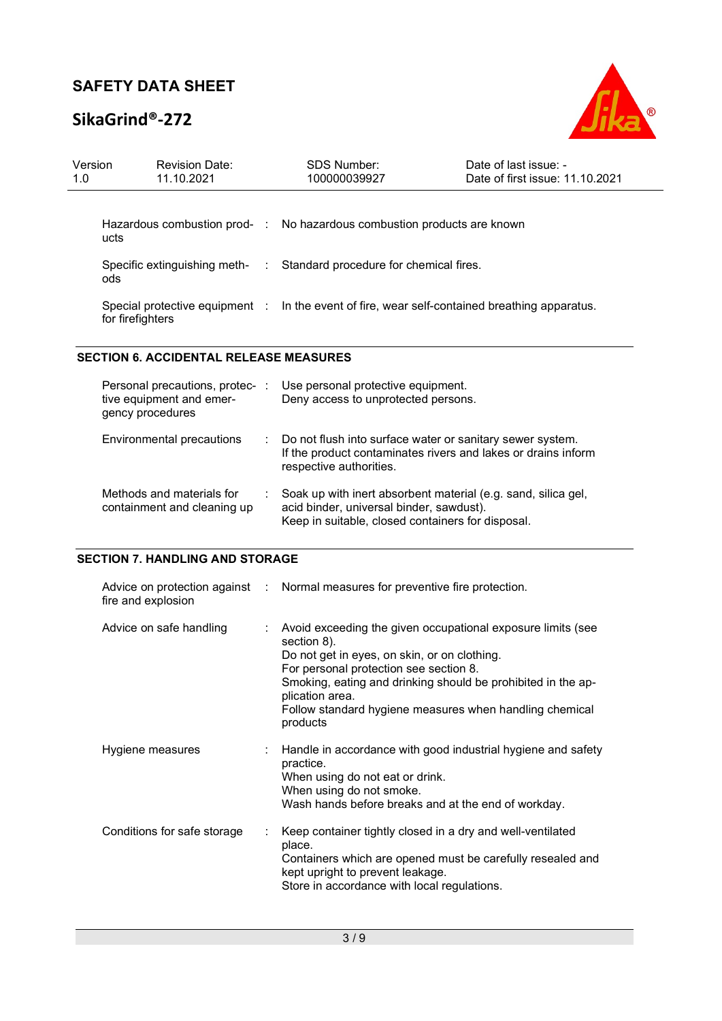# SikaGrind®-272



| Version<br>1.0                         | <b>Revision Date:</b><br>11.10.2021                                             |                | SDS Number:<br>100000039927                                                                                                                                    | Date of last issue: -<br>Date of first issue: 11.10.2021 |  |
|----------------------------------------|---------------------------------------------------------------------------------|----------------|----------------------------------------------------------------------------------------------------------------------------------------------------------------|----------------------------------------------------------|--|
|                                        | Hazardous combustion prod-<br>ucts                                              | $\sim$ 10      | No hazardous combustion products are known                                                                                                                     |                                                          |  |
|                                        | Specific extinguishing meth-<br>ods                                             | $\mathbb{Z}^n$ | Standard procedure for chemical fires.                                                                                                                         |                                                          |  |
|                                        | Special protective equipment :<br>for firefighters                              |                | In the event of fire, wear self-contained breathing apparatus.                                                                                                 |                                                          |  |
|                                        | <b>SECTION 6. ACCIDENTAL RELEASE MEASURES</b>                                   |                |                                                                                                                                                                |                                                          |  |
|                                        | Personal precautions, protec- :<br>tive equipment and emer-<br>gency procedures |                | Use personal protective equipment.<br>Deny access to unprotected persons.                                                                                      |                                                          |  |
|                                        | Environmental precautions                                                       |                | Do not flush into surface water or sanitary sewer system.<br>If the product contaminates rivers and lakes or drains inform<br>respective authorities.          |                                                          |  |
|                                        | Methods and materials for<br>containment and cleaning up                        |                | Soak up with inert absorbent material (e.g. sand, silica gel,<br>acid binder, universal binder, sawdust).<br>Keep in suitable, closed containers for disposal. |                                                          |  |
| <b>SECTION 7. HANDLING AND STORAGE</b> |                                                                                 |                |                                                                                                                                                                |                                                          |  |
|                                        | Advice on protection against<br>fire and explosion                              |                | Normal measures for preventive fire protection.                                                                                                                |                                                          |  |
|                                        | Advice on safe handling                                                         |                | Avoid exceeding the given occupational exposure limits (see<br>section 8).<br>Do not get in eyes, on skin, or on clothing.                                     |                                                          |  |

|                             | Follow standard hygiene measures when handling chemical<br>products                                                                                                                                                   |
|-----------------------------|-----------------------------------------------------------------------------------------------------------------------------------------------------------------------------------------------------------------------|
| Hygiene measures            | Handle in accordance with good industrial hygiene and safety<br>÷<br>practice.<br>When using do not eat or drink.<br>When using do not smoke.<br>Wash hands before breaks and at the end of workday.                  |
| Conditions for safe storage | Keep container tightly closed in a dry and well-ventilated<br>place.<br>Containers which are opened must be carefully resealed and<br>kept upright to prevent leakage.<br>Store in accordance with local regulations. |

plication area.

For personal protection see section 8.

Smoking, eating and drinking should be prohibited in the ap-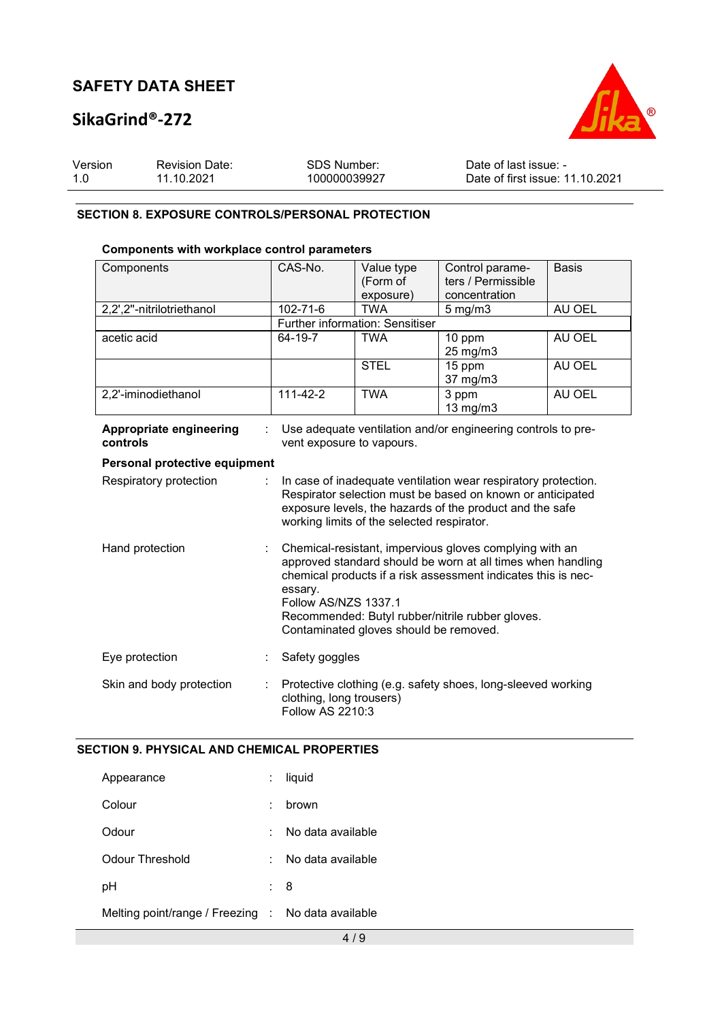# SikaGrind®-272



| Version | <b>Revision Date:</b> | SDS Number:  | Date of last issue: -           |
|---------|-----------------------|--------------|---------------------------------|
| 1.0     | 11.10.2021            | 100000039927 | Date of first issue: 11.10.2021 |

### SECTION 8. EXPOSURE CONTROLS/PERSONAL PROTECTION

## Components with workplace control parameters

| Components                          | CAS-No.                                                                                                                                                                                                                                                                                                                  | Value type<br>(Form of<br>exposure)    | Control parame-<br>ters / Permissible<br>concentration       | <b>Basis</b> |
|-------------------------------------|--------------------------------------------------------------------------------------------------------------------------------------------------------------------------------------------------------------------------------------------------------------------------------------------------------------------------|----------------------------------------|--------------------------------------------------------------|--------------|
| 2,2',2"-nitrilotriethanol           | 102-71-6                                                                                                                                                                                                                                                                                                                 | <b>TWA</b>                             | $5 \text{ mg/m}$                                             | AU OEL       |
|                                     |                                                                                                                                                                                                                                                                                                                          | <b>Further information: Sensitiser</b> |                                                              |              |
| acetic acid                         | 64-19-7                                                                                                                                                                                                                                                                                                                  | <b>TWA</b>                             | 10 ppm<br>25 mg/m3                                           | AU OEL       |
|                                     |                                                                                                                                                                                                                                                                                                                          | <b>STEL</b>                            | 15 ppm<br>37 mg/m3                                           | AU OEL       |
| 2,2'-iminodiethanol                 | $111 - 42 - 2$                                                                                                                                                                                                                                                                                                           | <b>TWA</b>                             | 3 ppm<br>$13$ mg/m $3$                                       | AU OEL       |
| Appropriate engineering<br>controls | vent exposure to vapours.                                                                                                                                                                                                                                                                                                |                                        | Use adequate ventilation and/or engineering controls to pre- |              |
| Personal protective equipment       |                                                                                                                                                                                                                                                                                                                          |                                        |                                                              |              |
| Respiratory protection              | In case of inadequate ventilation wear respiratory protection.<br>Respirator selection must be based on known or anticipated<br>exposure levels, the hazards of the product and the safe<br>working limits of the selected respirator.                                                                                   |                                        |                                                              |              |
| Hand protection                     | Chemical-resistant, impervious gloves complying with an<br>approved standard should be worn at all times when handling<br>chemical products if a risk assessment indicates this is nec-<br>essary.<br>Follow AS/NZS 1337.1<br>Recommended: Butyl rubber/nitrile rubber gloves.<br>Contaminated gloves should be removed. |                                        |                                                              |              |
| Eye protection                      | Safety goggles                                                                                                                                                                                                                                                                                                           |                                        |                                                              |              |
| Skin and body protection            | clothing, long trousers)<br><b>Follow AS 2210:3</b>                                                                                                                                                                                                                                                                      |                                        | Protective clothing (e.g. safety shoes, long-sleeved working |              |

## SECTION 9. PHYSICAL AND CHEMICAL PROPERTIES

|    | liquid                                             |
|----|----------------------------------------------------|
|    | brown                                              |
| ۰. | No data available                                  |
| ٠. | No data available                                  |
|    | : 8                                                |
|    | Melting point/range / Freezing : No data available |
|    |                                                    |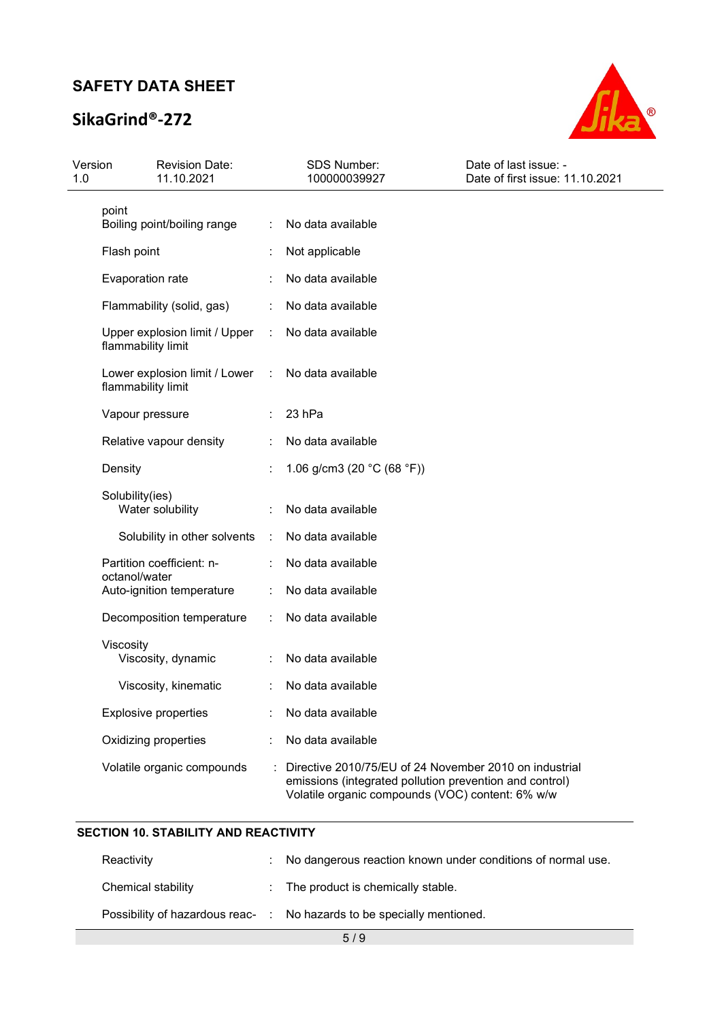# SikaGrind®-272



| Version<br>1.0 | <b>Revision Date:</b><br>11.10.2021                 |           | SDS Number:<br>100000039927                                                                                                                                           | Date of last issue: -<br>Date of first issue: 11.10.2021 |
|----------------|-----------------------------------------------------|-----------|-----------------------------------------------------------------------------------------------------------------------------------------------------------------------|----------------------------------------------------------|
|                | point                                               |           |                                                                                                                                                                       |                                                          |
|                | Boiling point/boiling range                         | ÷         | No data available                                                                                                                                                     |                                                          |
|                | Flash point                                         |           | Not applicable                                                                                                                                                        |                                                          |
|                | Evaporation rate                                    |           | No data available                                                                                                                                                     |                                                          |
|                | Flammability (solid, gas)                           | ÷         | No data available                                                                                                                                                     |                                                          |
|                | Upper explosion limit / Upper<br>flammability limit | ÷         | No data available                                                                                                                                                     |                                                          |
|                | Lower explosion limit / Lower<br>flammability limit | $\sim 10$ | No data available                                                                                                                                                     |                                                          |
|                | Vapour pressure                                     |           | 23 hPa                                                                                                                                                                |                                                          |
|                | Relative vapour density                             |           | No data available                                                                                                                                                     |                                                          |
|                | Density                                             |           | 1.06 g/cm3 (20 °C (68 °F))                                                                                                                                            |                                                          |
|                | Solubility(ies)<br>Water solubility                 |           | No data available                                                                                                                                                     |                                                          |
|                | Solubility in other solvents                        | ÷         | No data available                                                                                                                                                     |                                                          |
|                | Partition coefficient: n-<br>octanol/water          |           | No data available                                                                                                                                                     |                                                          |
|                | Auto-ignition temperature                           |           | No data available                                                                                                                                                     |                                                          |
|                | Decomposition temperature                           |           | No data available                                                                                                                                                     |                                                          |
|                | Viscosity<br>Viscosity, dynamic                     |           | No data available                                                                                                                                                     |                                                          |
|                | Viscosity, kinematic                                |           | No data available                                                                                                                                                     |                                                          |
|                | <b>Explosive properties</b>                         |           | No data available                                                                                                                                                     |                                                          |
|                | Oxidizing properties                                |           | No data available                                                                                                                                                     |                                                          |
|                | Volatile organic compounds                          |           | Directive 2010/75/EU of 24 November 2010 on industrial<br>emissions (integrated pollution prevention and control)<br>Volatile organic compounds (VOC) content: 6% w/w |                                                          |

## SECTION 10. STABILITY AND REACTIVITY

| Reactivity         | : No dangerous reaction known under conditions of normal use.          |
|--------------------|------------------------------------------------------------------------|
| Chemical stability | : The product is chemically stable.                                    |
|                    | Possibility of hazardous reac- : No hazards to be specially mentioned. |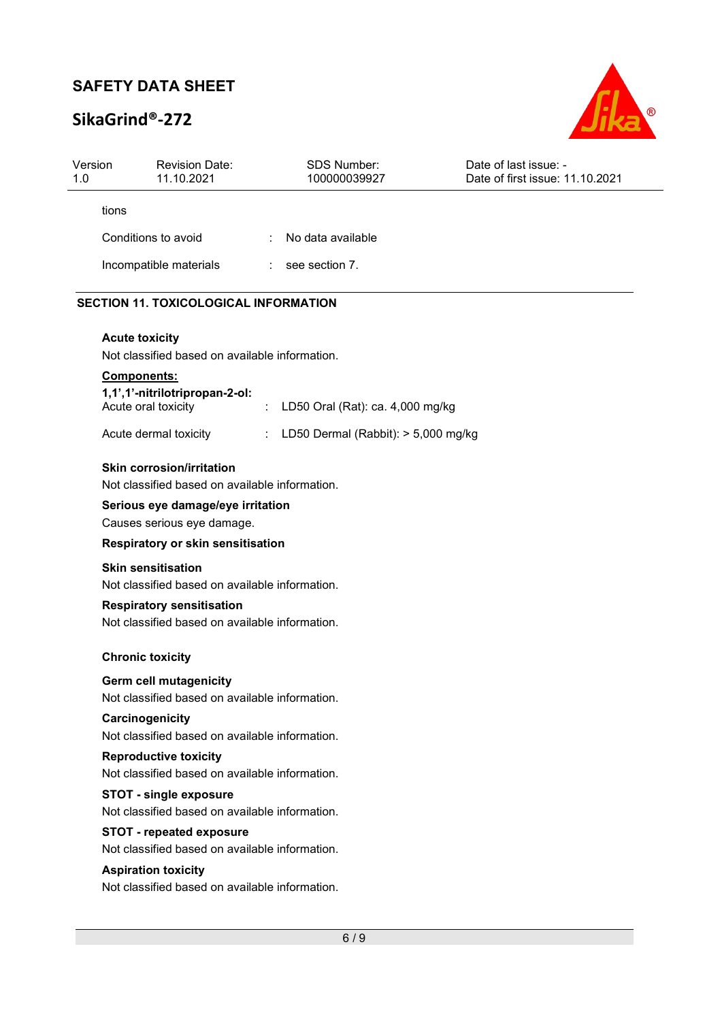# SikaGrind®-272



| Version<br>1.0 | <b>Revision Date:</b><br>11.10.2021                                                                                              |    | <b>SDS Number:</b><br>100000039927  | Date of last issue: -<br>Date of first issue: 11.10.2021 |
|----------------|----------------------------------------------------------------------------------------------------------------------------------|----|-------------------------------------|----------------------------------------------------------|
|                | tions                                                                                                                            |    |                                     |                                                          |
|                | Conditions to avoid                                                                                                              |    | No data available                   |                                                          |
|                | Incompatible materials                                                                                                           | ÷. | see section 7.                      |                                                          |
|                | <b>SECTION 11. TOXICOLOGICAL INFORMATION</b>                                                                                     |    |                                     |                                                          |
|                | <b>Acute toxicity</b><br>Not classified based on available information.                                                          |    |                                     |                                                          |
|                | <b>Components:</b><br>1,1',1'-nitrilotripropan-2-ol:<br>Acute oral toxicity                                                      |    | LD50 Oral (Rat): ca. 4,000 mg/kg    |                                                          |
|                | Acute dermal toxicity                                                                                                            |    | LD50 Dermal (Rabbit): > 5,000 mg/kg |                                                          |
|                | <b>Skin corrosion/irritation</b><br>Not classified based on available information.<br>Serious eye damage/eye irritation          |    |                                     |                                                          |
|                | Causes serious eye damage.                                                                                                       |    |                                     |                                                          |
|                | Respiratory or skin sensitisation                                                                                                |    |                                     |                                                          |
|                | <b>Skin sensitisation</b><br>Not classified based on available information.                                                      |    |                                     |                                                          |
|                | <b>Respiratory sensitisation</b><br>Not classified based on available information.                                               |    |                                     |                                                          |
|                | <b>Chronic toxicity</b>                                                                                                          |    |                                     |                                                          |
|                | Germ cell mutagenicity<br>Not classified based on available information.<br>Carcinogenicity                                      |    |                                     |                                                          |
|                | Not classified based on available information.<br><b>Reproductive toxicity</b><br>Not classified based on available information. |    |                                     |                                                          |
|                | <b>STOT - single exposure</b><br>Not classified based on available information.                                                  |    |                                     |                                                          |
|                | <b>STOT - repeated exposure</b><br>Not classified based on available information.                                                |    |                                     |                                                          |
|                | <b>Aspiration toxicity</b><br>Not classified based on available information.                                                     |    |                                     |                                                          |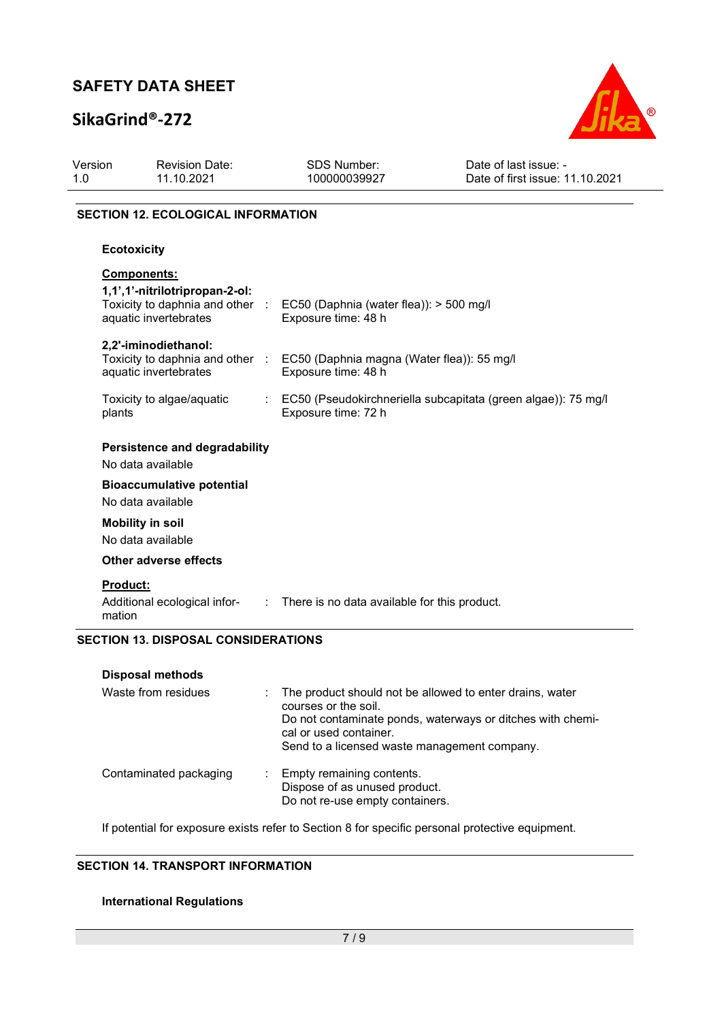# SikaGrind®-272



| Version<br>1.0     | <b>Revision Date:</b><br>11.10.2021                                                                              | SDS Number:<br>100000039927                                                                    | Date of last issue: -<br>Date of first issue: 11.10.2021                                                               |
|--------------------|------------------------------------------------------------------------------------------------------------------|------------------------------------------------------------------------------------------------|------------------------------------------------------------------------------------------------------------------------|
|                    | <b>SECTION 12. ECOLOGICAL INFORMATION</b>                                                                        |                                                                                                |                                                                                                                        |
|                    | <b>Ecotoxicity</b>                                                                                               |                                                                                                |                                                                                                                        |
|                    | <b>Components:</b><br>1,1',1'-nitrilotripropan-2-ol:<br>Toxicity to daphnia and other :<br>aquatic invertebrates | EC50 (Daphnia (water flea)): > 500 mg/l<br>Exposure time: 48 h                                 |                                                                                                                        |
|                    | 2,2'-iminodiethanol:<br>Toxicity to daphnia and other :<br>aquatic invertebrates                                 | EC50 (Daphnia magna (Water flea)): 55 mg/l<br>Exposure time: 48 h                              |                                                                                                                        |
| plants             | Toxicity to algae/aquatic                                                                                        | Exposure time: 72 h                                                                            | EC50 (Pseudokirchneriella subcapitata (green algae)): 75 mg/l                                                          |
|                    | <b>Persistence and degradability</b><br>No data available                                                        |                                                                                                |                                                                                                                        |
|                    | <b>Bioaccumulative potential</b><br>No data available                                                            |                                                                                                |                                                                                                                        |
|                    | <b>Mobility in soil</b><br>No data available                                                                     |                                                                                                |                                                                                                                        |
|                    | <b>Other adverse effects</b>                                                                                     |                                                                                                |                                                                                                                        |
| Product:<br>mation | Additional ecological infor-                                                                                     | : There is no data available for this product.                                                 |                                                                                                                        |
|                    | <b>SECTION 13. DISPOSAL CONSIDERATIONS</b>                                                                       |                                                                                                |                                                                                                                        |
|                    | <b>Disposal methods</b>                                                                                          |                                                                                                |                                                                                                                        |
|                    | Waste from residues                                                                                              | courses or the soil.<br>cal or used container.<br>Send to a licensed waste management company. | The product should not be allowed to enter drains, water<br>Do not contaminate ponds, waterways or ditches with chemi- |
|                    | Contaminated packaging                                                                                           | Empty remaining contents.<br>Dispose of as unused product.<br>Do not re-use empty containers.  |                                                                                                                        |

If potential for exposure exists refer to Section 8 for specific personal protective equipment.

## SECTION 14. TRANSPORT INFORMATION

## International Regulations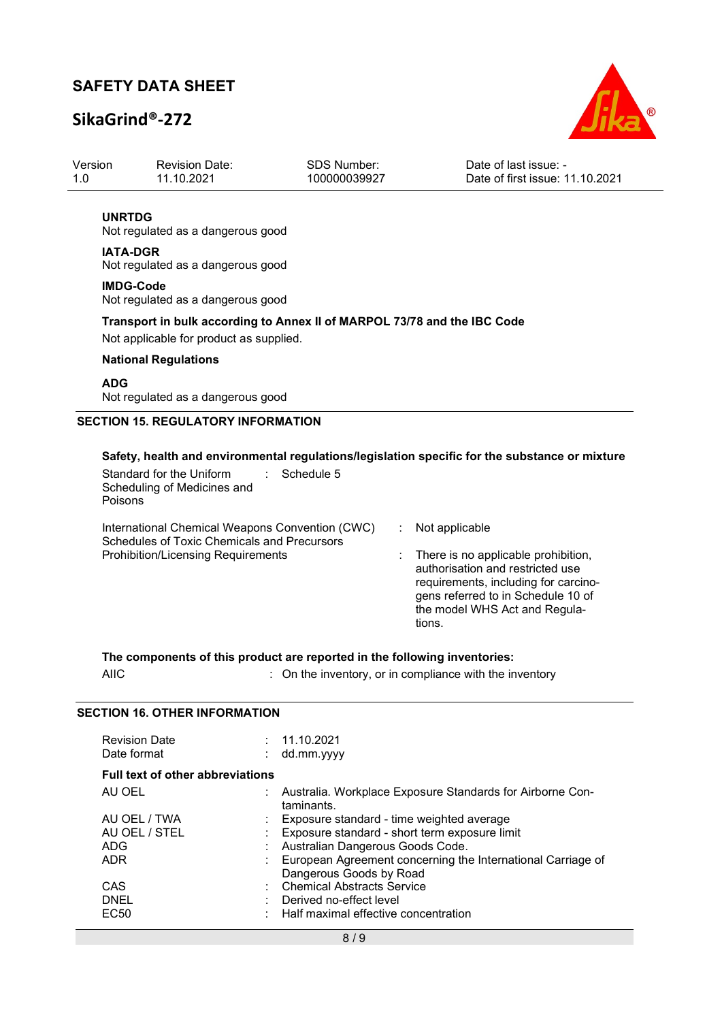## SikaGrind®-272



| Version | <b>Revision Date:</b> | SDS Number:  | Date of last issue: -           |
|---------|-----------------------|--------------|---------------------------------|
| 1.0     | 11.10.2021            | 100000039927 | Date of first issue: 11.10.2021 |
|         |                       |              |                                 |

### UNRTDG

Not regulated as a dangerous good

### IATA-DGR

Not regulated as a dangerous good

#### IMDG-Code Not regulated as a dangerous good

## Transport in bulk according to Annex II of MARPOL 73/78 and the IBC Code

Not applicable for product as supplied.

### National Regulations

## ADG

Not regulated as a dangerous good

### SECTION 15. REGULATORY INFORMATION

### Safety, health and environmental regulations/legislation specific for the substance or mixture

| Standard for the Uniform<br>Schedule 5<br>Scheduling of Medicines and<br>Poisons                      |                                                                                                                                                                                                  |
|-------------------------------------------------------------------------------------------------------|--------------------------------------------------------------------------------------------------------------------------------------------------------------------------------------------------|
| International Chemical Weapons Convention (CWC)<br><b>Schedules of Toxic Chemicals and Precursors</b> | Not applicable                                                                                                                                                                                   |
| <b>Prohibition/Licensing Requirements</b>                                                             | There is no applicable prohibition,<br>authorisation and restricted use<br>requirements, including for carcino-<br>gens referred to in Schedule 10 of<br>the model WHS Act and Regula-<br>tions. |

The components of this product are reported in the following inventories: AIIC **interest and inventory**, or in compliance with the inventory

## SECTION 16 OTHER INFORMATION

| <b>Revision Date</b><br>Date format     | : 11.10.2021<br>dd.mm.yyyy                                                             |
|-----------------------------------------|----------------------------------------------------------------------------------------|
| <b>Full text of other abbreviations</b> |                                                                                        |
| AU OEL                                  | Australia. Workplace Exposure Standards for Airborne Con-<br>taminants.                |
| AU OEL / TWA                            | : Exposure standard - time weighted average                                            |
| AU OEL / STEL                           | Exposure standard - short term exposure limit                                          |
| <b>ADG</b>                              | Australian Dangerous Goods Code.                                                       |
| <b>ADR</b>                              | European Agreement concerning the International Carriage of<br>Dangerous Goods by Road |
| CAS                                     | : Chemical Abstracts Service                                                           |
| <b>DNEL</b>                             | Derived no-effect level                                                                |
| EC50                                    | Half maximal effective concentration                                                   |